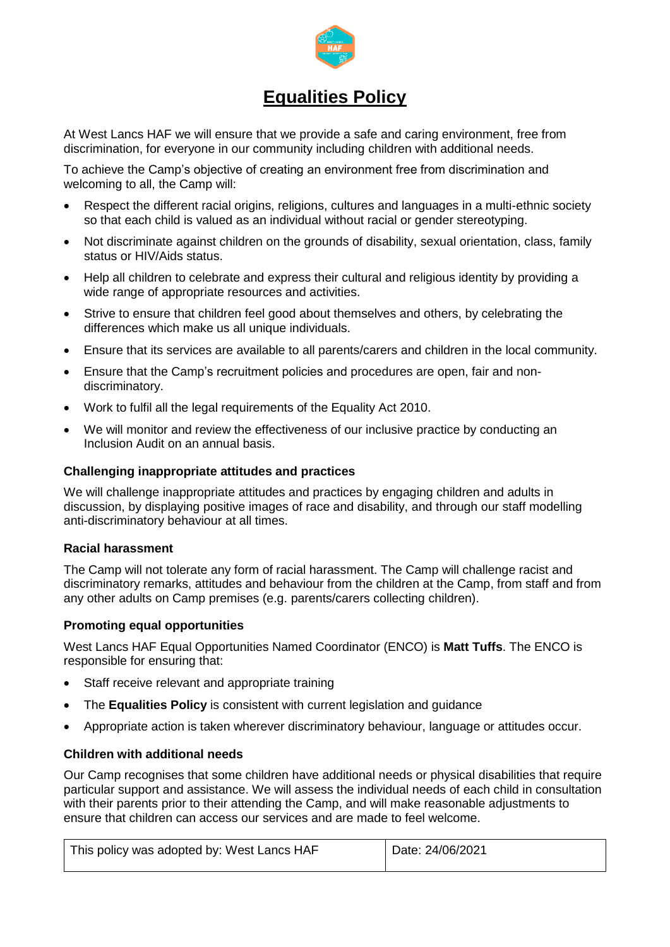

# **Equalities Policy**

At West Lancs HAF we will ensure that we provide a safe and caring environment, free from discrimination, for everyone in our community including children with additional needs.

To achieve the Camp's objective of creating an environment free from discrimination and welcoming to all, the Camp will:

- Respect the different racial origins, religions, cultures and languages in a multi-ethnic society so that each child is valued as an individual without racial or gender stereotyping.
- Not discriminate against children on the grounds of disability, sexual orientation, class, family status or HIV/Aids status.
- Help all children to celebrate and express their cultural and religious identity by providing a wide range of appropriate resources and activities.
- Strive to ensure that children feel good about themselves and others, by celebrating the differences which make us all unique individuals.
- Ensure that its services are available to all parents/carers and children in the local community.
- Ensure that the Camp's recruitment policies and procedures are open, fair and nondiscriminatory.
- Work to fulfil all the legal requirements of the Equality Act 2010.
- We will monitor and review the effectiveness of our inclusive practice by conducting an Inclusion Audit on an annual basis.

### **Challenging inappropriate attitudes and practices**

We will challenge inappropriate attitudes and practices by engaging children and adults in discussion, by displaying positive images of race and disability, and through our staff modelling anti-discriminatory behaviour at all times.

#### **Racial harassment**

The Camp will not tolerate any form of racial harassment. The Camp will challenge racist and discriminatory remarks, attitudes and behaviour from the children at the Camp, from staff and from any other adults on Camp premises (e.g. parents/carers collecting children).

## **Promoting equal opportunities**

West Lancs HAF Equal Opportunities Named Coordinator (ENCO) is **Matt Tuffs**. The ENCO is responsible for ensuring that:

- Staff receive relevant and appropriate training
- The **Equalities Policy** is consistent with current legislation and guidance
- Appropriate action is taken wherever discriminatory behaviour, language or attitudes occur.

## **Children with additional needs**

Our Camp recognises that some children have additional needs or physical disabilities that require particular support and assistance. We will assess the individual needs of each child in consultation with their parents prior to their attending the Camp, and will make reasonable adjustments to ensure that children can access our services and are made to feel welcome.

| This policy was adopted by: West Lancs HAF | Date: 24/06/2021 |
|--------------------------------------------|------------------|
|                                            |                  |